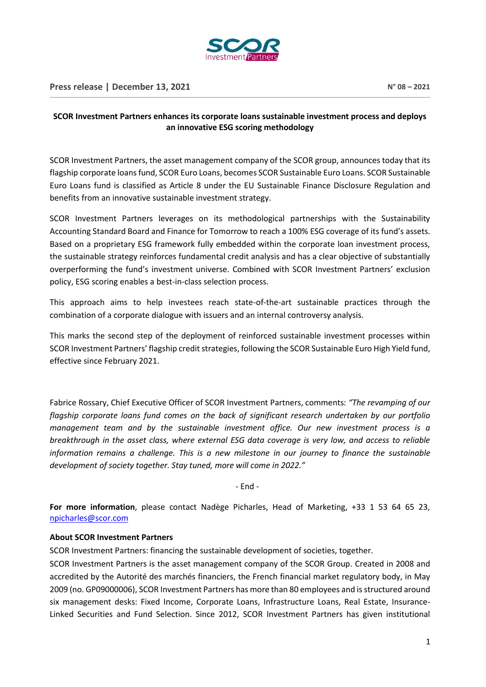

## **SCOR Investment Partners enhances its corporate loans sustainable investment process and deploys an innovative ESG scoring methodology**

SCOR Investment Partners, the asset management company of the SCOR group, announces today that its flagship corporate loans fund, SCOR Euro Loans, becomes SCOR Sustainable Euro Loans. SCOR Sustainable Euro Loans fund is classified as Article 8 under the EU Sustainable Finance Disclosure Regulation and benefits from an innovative sustainable investment strategy.

SCOR Investment Partners leverages on its methodological partnerships with the Sustainability Accounting Standard Board and Finance for Tomorrow to reach a 100% ESG coverage of its fund's assets. Based on a proprietary ESG framework fully embedded within the corporate loan investment process, the sustainable strategy reinforces fundamental credit analysis and has a clear objective of substantially overperforming the fund's investment universe. Combined with SCOR Investment Partners' exclusion policy, ESG scoring enables a best-in-class selection process.

This approach aims to help investees reach state-of-the-art sustainable practices through the combination of a corporate dialogue with issuers and an internal controversy analysis.

This marks the second step of the deployment of reinforced sustainable investment processes within SCOR Investment Partners' flagship credit strategies, following the SCOR Sustainable Euro High Yield fund, effective since February 2021.

Fabrice Rossary, Chief Executive Officer of SCOR Investment Partners, comments: *"The revamping of our flagship corporate loans fund comes on the back of significant research undertaken by our portfolio management team and by the sustainable investment office. Our new investment process is a breakthrough in the asset class, where external ESG data coverage is very low, and access to reliable information remains a challenge. This is a new milestone in our journey to finance the sustainable development of society together. Stay tuned, more will come in 2022."*

- End -

**For more information**, please contact Nadège Picharles, Head of Marketing, +33 1 53 64 65 23, [npicharles@scor.com](mailto:npicharles@scor.com)

## **About SCOR Investment Partners**

SCOR Investment Partners: financing the sustainable development of societies, together.

SCOR Investment Partners is the asset management company of the SCOR Group. Created in 2008 and accredited by the Autorité des marchés financiers, the French financial market regulatory body, in May 2009 (no. GP09000006), SCOR Investment Partners has more than 80 employees and is structured around six management desks: Fixed Income, Corporate Loans, Infrastructure Loans, Real Estate, Insurance-Linked Securities and Fund Selection. Since 2012, SCOR Investment Partners has given institutional